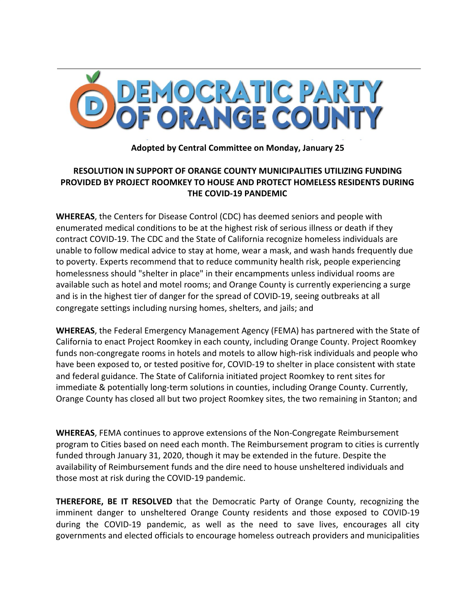

**Adopted by Central Committee on Monday, January 25**

## **RESOLUTION IN SUPPORT OF ORANGE COUNTY MUNICIPALITIES UTILIZING FUNDING PROVIDED BY PROJECT ROOMKEY TO HOUSE AND PROTECT HOMELESS RESIDENTS DURING THE COVID-19 PANDEMIC**

**WHEREAS**, the Centers for Disease Control (CDC) has deemed seniors and people with enumerated medical conditions to be at the highest risk of serious illness or death if they contract COVID-19. The CDC and the State of California recognize homeless individuals are unable to follow medical advice to stay at home, wear a mask, and wash hands frequently due to poverty. Experts recommend that to reduce community health risk, people experiencing homelessness should "shelter in place" in their encampments unless individual rooms are available such as hotel and motel rooms; and Orange County is currently experiencing a surge and is in the highest tier of danger for the spread of COVID-19, seeing outbreaks at all congregate settings including nursing homes, shelters, and jails; and

**WHEREAS**, the Federal Emergency Management Agency (FEMA) has partnered with the State of California to enact Project Roomkey in each county, including Orange County. Project Roomkey funds non-congregate rooms in hotels and motels to allow high-risk individuals and people who have been exposed to, or tested positive for, COVID-19 to shelter in place consistent with state and federal guidance. The State of California initiated project Roomkey to rent sites for immediate & potentially long-term solutions in counties, including Orange County. Currently, Orange County has closed all but two project Roomkey sites, the two remaining in Stanton; and

**WHEREAS**, FEMA continues to approve extensions of the Non-Congregate Reimbursement program to Cities based on need each month. The Reimbursement program to cities is currently funded through January 31, 2020, though it may be extended in the future. Despite the availability of Reimbursement funds and the dire need to house unsheltered individuals and those most at risk during the COVID-19 pandemic.

**THEREFORE, BE IT RESOLVED** that the Democratic Party of Orange County, recognizing the imminent danger to unsheltered Orange County residents and those exposed to COVID-19 during the COVID-19 pandemic, as well as the need to save lives, encourages all city governments and elected officials to encourage homeless outreach providers and municipalities